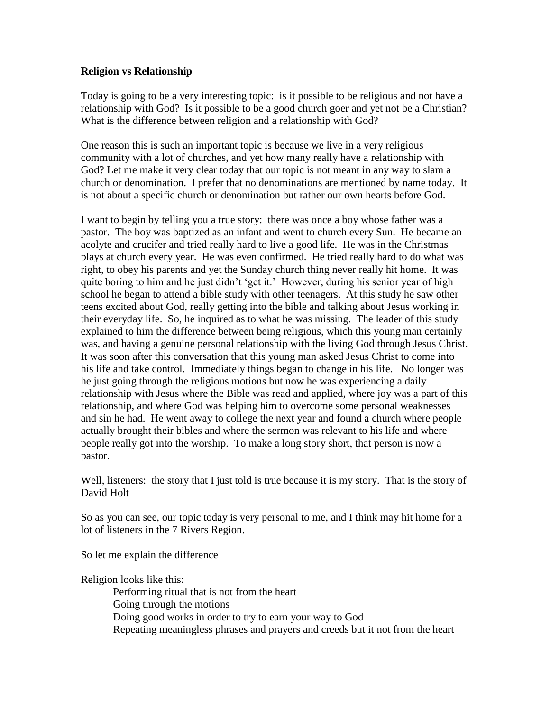## **Religion vs Relationship**

Today is going to be a very interesting topic: is it possible to be religious and not have a relationship with God? Is it possible to be a good church goer and yet not be a Christian? What is the difference between religion and a relationship with God?

One reason this is such an important topic is because we live in a very religious community with a lot of churches, and yet how many really have a relationship with God? Let me make it very clear today that our topic is not meant in any way to slam a church or denomination. I prefer that no denominations are mentioned by name today. It is not about a specific church or denomination but rather our own hearts before God.

I want to begin by telling you a true story: there was once a boy whose father was a pastor. The boy was baptized as an infant and went to church every Sun. He became an acolyte and crucifer and tried really hard to live a good life. He was in the Christmas plays at church every year. He was even confirmed. He tried really hard to do what was right, to obey his parents and yet the Sunday church thing never really hit home. It was quite boring to him and he just didn't 'get it.' However, during his senior year of high school he began to attend a bible study with other teenagers. At this study he saw other teens excited about God, really getting into the bible and talking about Jesus working in their everyday life. So, he inquired as to what he was missing. The leader of this study explained to him the difference between being religious, which this young man certainly was, and having a genuine personal relationship with the living God through Jesus Christ. It was soon after this conversation that this young man asked Jesus Christ to come into his life and take control. Immediately things began to change in his life. No longer was he just going through the religious motions but now he was experiencing a daily relationship with Jesus where the Bible was read and applied, where joy was a part of this relationship, and where God was helping him to overcome some personal weaknesses and sin he had. He went away to college the next year and found a church where people actually brought their bibles and where the sermon was relevant to his life and where people really got into the worship. To make a long story short, that person is now a pastor.

Well, listeners: the story that I just told is true because it is my story. That is the story of David Holt

So as you can see, our topic today is very personal to me, and I think may hit home for a lot of listeners in the 7 Rivers Region.

So let me explain the difference

Religion looks like this:

Performing ritual that is not from the heart Going through the motions Doing good works in order to try to earn your way to God Repeating meaningless phrases and prayers and creeds but it not from the heart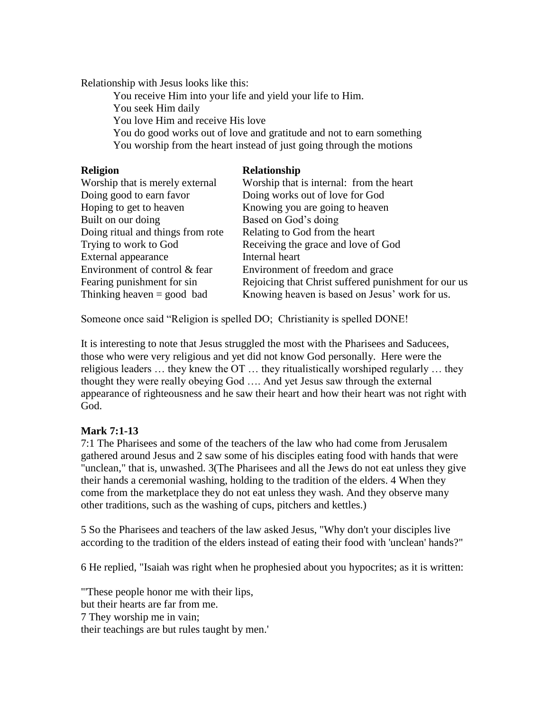Relationship with Jesus looks like this:

You receive Him into your life and yield your life to Him.

You seek Him daily

You love Him and receive His love

You do good works out of love and gratitude and not to earn something You worship from the heart instead of just going through the motions

| Relationship                                         |
|------------------------------------------------------|
| Worship that is internal: from the heart             |
| Doing works out of love for God                      |
| Knowing you are going to heaven                      |
| Based on God's doing                                 |
| Relating to God from the heart                       |
| Receiving the grace and love of God                  |
| Internal heart                                       |
| Environment of freedom and grace                     |
| Rejoicing that Christ suffered punishment for our us |
| Knowing heaven is based on Jesus' work for us.       |
|                                                      |

Someone once said "Religion is spelled DO; Christianity is spelled DONE!

It is interesting to note that Jesus struggled the most with the Pharisees and Saducees, those who were very religious and yet did not know God personally. Here were the religious leaders … they knew the OT … they ritualistically worshiped regularly … they thought they were really obeying God …. And yet Jesus saw through the external appearance of righteousness and he saw their heart and how their heart was not right with God.

## **Mark 7:1-13**

7:1 The Pharisees and some of the teachers of the law who had come from Jerusalem gathered around Jesus and 2 saw some of his disciples eating food with hands that were "unclean," that is, unwashed. 3(The Pharisees and all the Jews do not eat unless they give their hands a ceremonial washing, holding to the tradition of the elders. 4 When they come from the marketplace they do not eat unless they wash. And they observe many other traditions, such as the washing of cups, pitchers and kettles.)

5 So the Pharisees and teachers of the law asked Jesus, "Why don't your disciples live according to the tradition of the elders instead of eating their food with 'unclean' hands?"

6 He replied, "Isaiah was right when he prophesied about you hypocrites; as it is written:

"'These people honor me with their lips, but their hearts are far from me. 7 They worship me in vain; their teachings are but rules taught by men.'